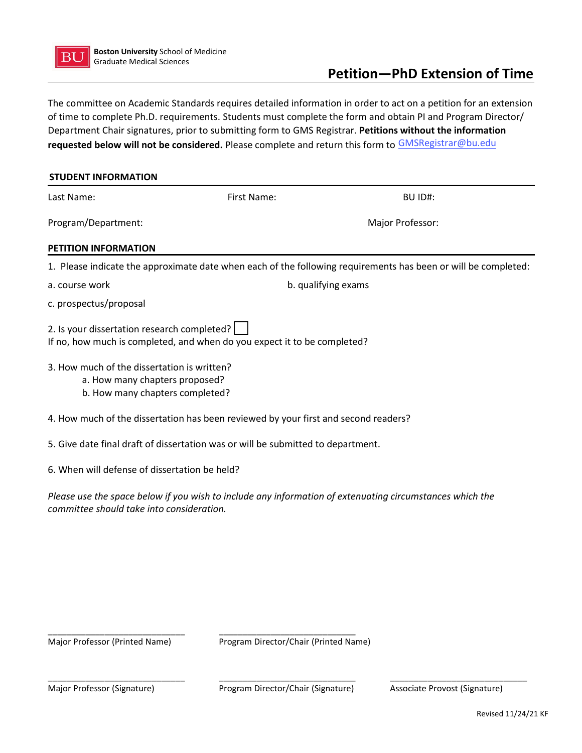

## **Petition—PhD Extension of Time**

The committee on Academic Standards requires detailed information in order to act on a petition for an extension of time to complete Ph.D. requirements. Students must complete the form and obtain PI and Program Director/ Department Chair signatures, prior to submitting form to GMS Registrar. **Petitions without the information requested below will not be considered.** Please complete and return this form to GMSRegistrar@bu.edu

| <b>STUDENT INFORMATION</b>                                                                                       |                                                                                     |                                                                                                                |  |
|------------------------------------------------------------------------------------------------------------------|-------------------------------------------------------------------------------------|----------------------------------------------------------------------------------------------------------------|--|
| Last Name:                                                                                                       | First Name:                                                                         | BU ID#:                                                                                                        |  |
| Program/Department:                                                                                              |                                                                                     | Major Professor:                                                                                               |  |
| PETITION INFORMATION                                                                                             |                                                                                     |                                                                                                                |  |
|                                                                                                                  |                                                                                     | 1. Please indicate the approximate date when each of the following requirements has been or will be completed: |  |
| a. course work                                                                                                   |                                                                                     | b. qualifying exams                                                                                            |  |
| c. prospectus/proposal                                                                                           |                                                                                     |                                                                                                                |  |
| 2. Is your dissertation research completed?                                                                      | If no, how much is completed, and when do you expect it to be completed?            |                                                                                                                |  |
| 3. How much of the dissertation is written?<br>a. How many chapters proposed?<br>b. How many chapters completed? |                                                                                     |                                                                                                                |  |
|                                                                                                                  | 4. How much of the dissertation has been reviewed by your first and second readers? |                                                                                                                |  |
|                                                                                                                  | 5. Give date final draft of dissertation was or will be submitted to department.    |                                                                                                                |  |
| 6. When will defense of dissertation be held?                                                                    |                                                                                     |                                                                                                                |  |

*Please use the space below if you wish to include any information of extenuating circumstances which the committee should take into consideration.* 

\_\_\_\_\_\_\_\_\_\_\_\_\_\_\_\_\_\_\_\_\_\_\_\_\_\_\_\_\_ Major Professor (Printed Name)

\_\_\_\_\_\_\_\_\_\_\_\_\_\_\_\_\_\_\_\_\_\_\_\_\_\_\_\_\_ Program Director/Chair (Printed Name)

Major Professor (Signature)

 $\overline{\phantom{a}}$  , and the contribution of  $\overline{\phantom{a}}$  , and  $\overline{\phantom{a}}$  , and  $\overline{\phantom{a}}$  , and  $\overline{\phantom{a}}$  , and  $\overline{\phantom{a}}$  , and  $\overline{\phantom{a}}$  , and  $\overline{\phantom{a}}$  , and  $\overline{\phantom{a}}$  , and  $\overline{\phantom{a}}$  , and  $\overline{\phantom{a}}$  , and  $\over$ \_\_\_\_\_\_\_\_\_\_\_\_\_\_\_\_\_\_\_\_\_\_\_\_\_\_\_\_\_ Program Director/Chair (Signature) Associate Provost (Signature)